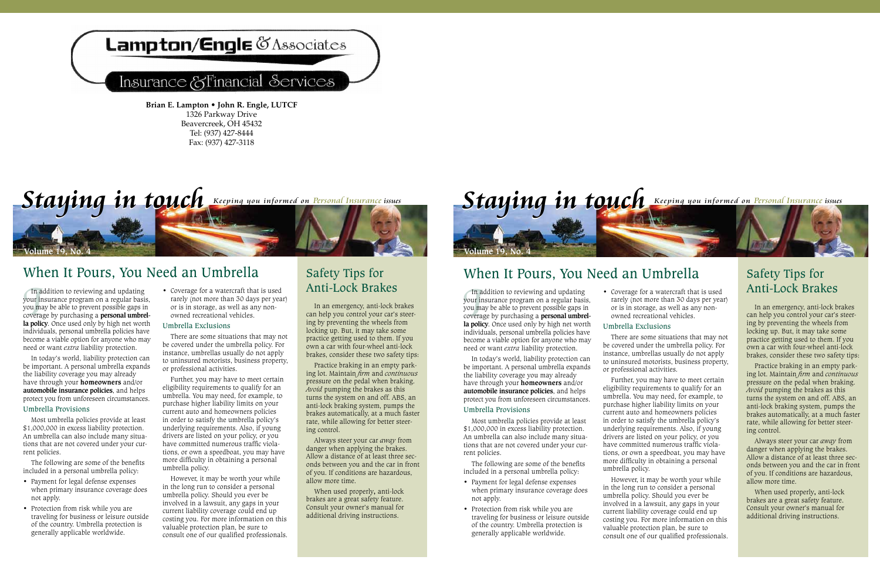## Lampton/Engle & Associates

### Insurance & Financial Services

**Brian E. Lampton • John R. Engle, LUTCF** 1326 Parkway Drive Beavercreek, OH 45432 Tel: (937) 427-8444 Fax: (937) 427-3118

# *Staying in touch* Keeping you informed on Personal Insurance issues

### When It Pours, You Need an Umbrella

In addition to reviewing and updating<br>your insurance program on a regular basis,<br>you may be able to prevent possible gaps in<br>coverage by purchasing a **personal umbrel-**<br>la **policy**. Once used only by high net worth your insurance program on a regular basis, you may be able to prevent possible gaps in coverage by purchasing a **personal umbrel**individuals, personal umbrella policies have become a viable option for anyone who may need or want *extra* liability protection.

In today's world, liability protection can be important. A personal umbrella expands the liability coverage you may already have through your **homeowners** and/or **automobile insurance policies**, and helps protect you from unforeseen circumstances.

#### Umbrella Provisions

**Volume 19, No. 4**

Most umbrella policies provide at least \$1,000,000 in excess liability protection. An umbrella can also include many situations that are not covered under your current policies.

The following are some of the benefits included in a personal umbrella policy:

- • Payment for legal defense expenses when primary insurance coverage does not apply.
- Protection from risk while you are traveling for business or leisure outside of the country. Umbrella protection is generally applicable worldwide.

rarely (not more than 30 days per year) or is in storage, as well as any nonowned recreational vehicles.

### Umbrella Exclusions

There are some situations that may not be covered under the umbrella policy. For instance, umbrellas usually do not apply to uninsured motorists, business property, or professional activities.

Further, you may have to meet certain eligibility requirements to qualify for an umbrella. You may need, for example, to purchase higher liability limits on your current auto and homeowners policies in order to satisfy the umbrella policy's underlying requirements. Also, if young drivers are listed on your policy, or you have committed numerous traffic violations, or own a speedboat, you may have more difficulty in obtaining a personal umbrella policy.

However, it may be worth your while in the long run to consider a personal umbrella policy. Should you ever be involved in a lawsuit, any gaps in your current liability coverage could end up costing you. For more information on this valuable protection plan, be sure to consult one of our qualified professionals.

### Safety Tips for In addition to reviewing and updating  $\quad \bullet \;$  Coverage for a watercraft that is used  $\;$  Anti-Lock Brakes

In an emergency, anti-lock brakes can help you control your car's steering by preventing the wheels from locking up. But, it may take some practice getting used to them. If you own a car with four-wheel anti-lock brakes, consider these two safety tips:

Practice braking in an empty parking lot. Maintain *firm* and *continuous*  pressure on the pedal when braking. *Avoid* pumping the brakes as this turns the system on and off. ABS, an anti-lock braking system, pumps the brakes automatically, at a much faster rate, while allowing for better steering control.

Always steer your car *away* from danger when applying the brakes. Allow a distance of at least three seconds between you and the car in front of you. If conditions are hazardous, allow more time.

When used properly**,** anti-lock brakes are a great safety feature. Consult your owner's manual for additional driving instructions.